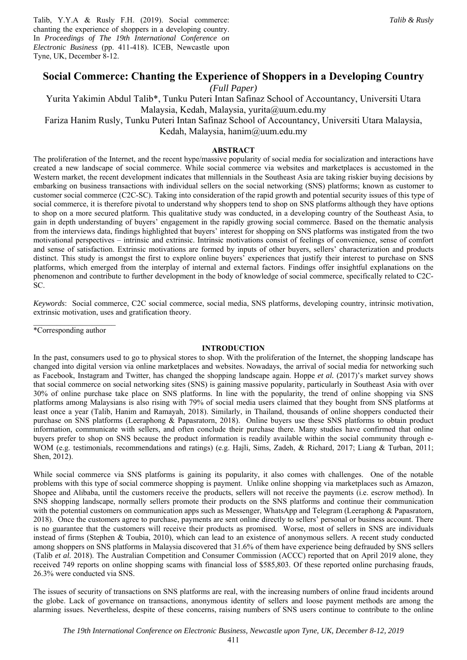Talib, Y.Y.A & Rusly F.H. (2019). Social commerce: chanting the experience of shoppers in a developing country. In *Proceedings of The 19th International Conference on Electronic Business* (pp. 411-418). ICEB, Newcastle upon Tyne, UK, December 8-12.

# **Social Commerce: Chanting the Experience of Shoppers in a Developing Country**

*(Full Paper)* 

Yurita Yakimin Abdul Talib\*, Tunku Puteri Intan Safinaz School of Accountancy, Universiti Utara Malaysia, Kedah, Malaysia, yurita@uum.edu.my

Fariza Hanim Rusly, Tunku Puteri Intan Safinaz School of Accountancy, Universiti Utara Malaysia,

Kedah, Malaysia, hanim@uum.edu.my

# **ABSTRACT**

The proliferation of the Internet, and the recent hype/massive popularity of social media for socialization and interactions have created a new landscape of social commerce. While social commerce via websites and marketplaces is accustomed in the Western market, the recent development indicates that millennials in the Southeast Asia are taking riskier buying decisions by embarking on business transactions with individual sellers on the social networking (SNS) platforms; known as customer to customer social commerce (C2C-SC). Taking into consideration of the rapid growth and potential security issues of this type of social commerce, it is therefore pivotal to understand why shoppers tend to shop on SNS platforms although they have options to shop on a more secured platform. This qualitative study was conducted, in a developing country of the Southeast Asia, to gain in depth understanding of buyers' engagement in the rapidly growing social commerce. Based on the thematic analysis from the interviews data, findings highlighted that buyers' interest for shopping on SNS platforms was instigated from the two motivational perspectives – intrinsic and extrinsic. Intrinsic motivations consist of feelings of convenience, sense of comfort and sense of satisfaction. Extrinsic motivations are formed by inputs of other buyers, sellers' characterization and products distinct. This study is amongst the first to explore online buyers' experiences that justify their interest to purchase on SNS platforms, which emerged from the interplay of internal and external factors. Findings offer insightful explanations on the phenomenon and contribute to further development in the body of knowledge of social commerce, specifically related to C2C-SC.

*Keywords*: Social commerce, C2C social commerce, social media, SNS platforms, developing country, intrinsic motivation, extrinsic motivation, uses and gratification theory.

 $\mathcal{L}=\mathcal{L}^{\mathcal{L}}$  , where  $\mathcal{L}^{\mathcal{L}}$  , we have the set of  $\mathcal{L}^{\mathcal{L}}$ \*Corresponding author

#### **INTRODUCTION**

In the past, consumers used to go to physical stores to shop. With the proliferation of the Internet, the shopping landscape has changed into digital version via online marketplaces and websites. Nowadays, the arrival of social media for networking such as Facebook, Instagram and Twitter, has changed the shopping landscape again. Hoppe *et al.* (2017)'s market survey shows that social commerce on social networking sites (SNS) is gaining massive popularity, particularly in Southeast Asia with over 30% of online purchase take place on SNS platforms. In line with the popularity, the trend of online shopping via SNS platforms among Malaysians is also rising with 79% of social media users claimed that they bought from SNS platforms at least once a year (Talib, Hanim and Ramayah, 2018). Similarly, in Thailand, thousands of online shoppers conducted their purchase on SNS platforms (Leeraphong & Papasratorn, 2018). Online buyers use these SNS platforms to obtain product information, communicate with sellers, and often conclude their purchase there. Many studies have confirmed that online buyers prefer to shop on SNS because the product information is readily available within the social community through e-WOM (e.g. testimonials, recommendations and ratings) (e.g. Hajli, Sims, Zadeh, & Richard, 2017; Liang & Turban, 2011; Shen, 2012).

While social commerce via SNS platforms is gaining its popularity, it also comes with challenges. One of the notable problems with this type of social commerce shopping is payment. Unlike online shopping via marketplaces such as Amazon, Shopee and Alibaba, until the customers receive the products, sellers will not receive the payments (i.e. escrow method). In SNS shopping landscape, normally sellers promote their products on the SNS platforms and continue their communication with the potential customers on communication apps such as Messenger, WhatsApp and Telegram (Leeraphong & Papasratorn, 2018). Once the customers agree to purchase, payments are sent online directly to sellers' personal or business account. There is no guarantee that the customers will receive their products as promised. Worse, most of sellers in SNS are individuals instead of firms (Stephen & Toubia, 2010), which can lead to an existence of anonymous sellers. A recent study conducted among shoppers on SNS platforms in Malaysia discovered that 31.6% of them have experience being defrauded by SNS sellers (Talib *et al.* 2018). The Australian Competition and Consumer Commission (ACCC) reported that on April 2019 alone, they received 749 reports on online shopping scams with financial loss of \$585,803. Of these reported online purchasing frauds, 26.3% were conducted via SNS.

The issues of security of transactions on SNS platforms are real, with the increasing numbers of online fraud incidents around the globe. Lack of governance on transactions, anonymous identity of sellers and loose payment methods are among the alarming issues. Nevertheless, despite of these concerns, raising numbers of SNS users continue to contribute to the online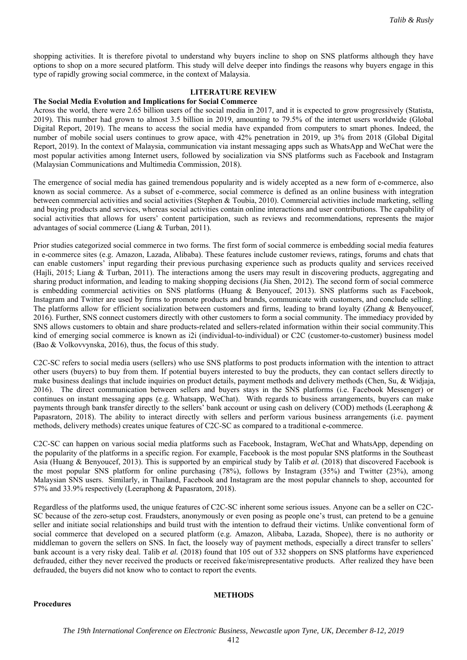shopping activities. It is therefore pivotal to understand why buyers incline to shop on SNS platforms although they have options to shop on a more secured platform. This study will delve deeper into findings the reasons why buyers engage in this type of rapidly growing social commerce, in the context of Malaysia.

# **LITERATURE REVIEW**

#### **The Social Media Evolution and Implications for Social Commerce**

Across the world, there were 2.65 billion users of the social media in 2017, and it is expected to grow progressively (Statista, 2019). This number had grown to almost 3.5 billion in 2019, amounting to 79.5% of the internet users worldwide (Global Digital Report, 2019). The means to access the social media have expanded from computers to smart phones. Indeed, the number of mobile social users continues to grow apace, with 42% penetration in 2019, up 3% from 2018 (Global Digital Report, 2019). In the context of Malaysia, communication via instant messaging apps such as WhatsApp and WeChat were the most popular activities among Internet users, followed by socialization via SNS platforms such as Facebook and Instagram (Malaysian Communications and Multimedia Commission, 2018).

The emergence of social media has gained tremendous popularity and is widely accepted as a new form of e-commerce, also known as social commerce. As a subset of e-commerce, social commerce is defined as an online business with integration between commercial activities and social activities (Stephen & Toubia, 2010). Commercial activities include marketing, selling and buying products and services, whereas social activities contain online interactions and user contributions. The capability of social activities that allows for users' content participation, such as reviews and recommendations, represents the major advantages of social commerce (Liang & Turban, 2011).

Prior studies categorized social commerce in two forms. The first form of social commerce is embedding social media features in e-commerce sites (e.g. Amazon, Lazada, Alibaba). These features include customer reviews, ratings, forums and chats that can enable customers' input regarding their previous purchasing experience such as products quality and services received (Hajli, 2015; Liang & Turban, 2011). The interactions among the users may result in discovering products, aggregating and sharing product information, and leading to making shopping decisions (Jia Shen, 2012). The second form of social commerce is embedding commercial activities on SNS platforms (Huang & Benyoucef, 2013). SNS platforms such as Facebook, Instagram and Twitter are used by firms to promote products and brands, communicate with customers, and conclude selling. The platforms allow for efficient socialization between customers and firms, leading to brand loyalty (Zhang & Benyoucef, 2016). Further, SNS connect customers directly with other customers to form a social community. The immediacy provided by SNS allows customers to obtain and share products-related and sellers-related information within their social community.This kind of emerging social commerce is known as i2i (individual-to-individual) or C2C (customer-to-customer) business model (Bao & Volkovvynska, 2016), thus, the focus of this study.

C2C-SC refers to social media users (sellers) who use SNS platforms to post products information with the intention to attract other users (buyers) to buy from them. If potential buyers interested to buy the products, they can contact sellers directly to make business dealings that include inquiries on product details, payment methods and delivery methods (Chen, Su, & Widjaja, 2016). The direct communication between sellers and buyers stays in the SNS platforms (i.e. Facebook Messenger) or continues on instant messaging apps (e.g. Whatsapp, WeChat). With regards to business arrangements, buyers can make payments through bank transfer directly to the sellers' bank account or using cash on delivery (COD) methods (Leeraphong & Papasratorn, 2018). The ability to interact directly with sellers and perform various business arrangements (i.e. payment methods, delivery methods) creates unique features of C2C-SC as compared to a traditional e-commerce.

C2C-SC can happen on various social media platforms such as Facebook, Instagram, WeChat and WhatsApp, depending on the popularity of the platforms in a specific region. For example, Facebook is the most popular SNS platforms in the Southeast Asia (Huang & Benyoucef, 2013). This is supported by an empirical study by Talib *et al.* (2018) that discovered Facebook is the most popular SNS platform for online purchasing (78%), follows by Instagram (35%) and Twitter (23%), among Malaysian SNS users. Similarly, in Thailand, Facebook and Instagram are the most popular channels to shop, accounted for 57% and 33.9% respectively (Leeraphong & Papasratorn, 2018).

Regardless of the platforms used, the unique features of C2C-SC inherent some serious issues. Anyone can be a seller on C2C-SC because of the zero-setup cost. Fraudsters, anonymously or even posing as people one's trust, can pretend to be a genuine seller and initiate social relationships and build trust with the intention to defraud their victims. Unlike conventional form of social commerce that developed on a secured platform (e.g. Amazon, Alibaba, Lazada, Shopee), there is no authority or middleman to govern the sellers on SNS. In fact, the loosely way of payment methods, especially a direct transfer to sellers' bank account is a very risky deal. Talib *et al.* (2018) found that 105 out of 332 shoppers on SNS platforms have experienced defrauded, either they never received the products or received fake/misrepresentative products. After realized they have been defrauded, the buyers did not know who to contact to report the events.

**Procedures** 

# **METHODS**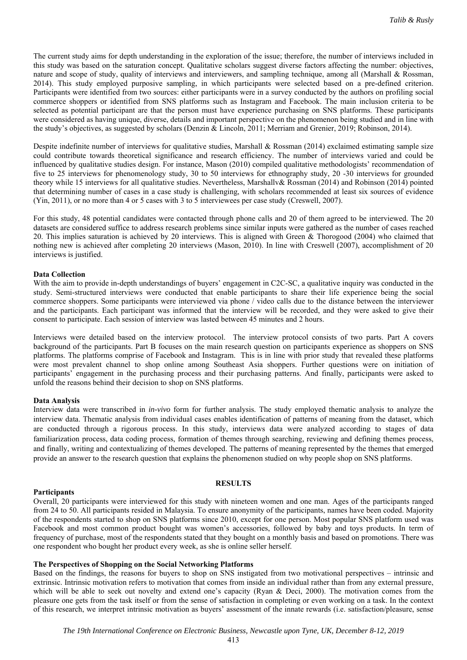The current study aims for depth understanding in the exploration of the issue; therefore, the number of interviews included in this study was based on the saturation concept. Qualitative scholars suggest diverse factors affecting the number: objectives, nature and scope of study, quality of interviews and interviewers, and sampling technique, among all (Marshall & Rossman, 2014). This study employed purposive sampling, in which participants were selected based on a pre-defined criterion. Participants were identified from two sources: either participants were in a survey conducted by the authors on profiling social commerce shoppers or identified from SNS platforms such as Instagram and Facebook. The main inclusion criteria to be selected as potential participant are that the person must have experience purchasing on SNS platforms. These participants were considered as having unique, diverse, details and important perspective on the phenomenon being studied and in line with the study's objectives, as suggested by scholars (Denzin & Lincoln, 2011; Merriam and Grenier, 2019; Robinson, 2014).

Despite indefinite number of interviews for qualitative studies, Marshall & Rossman (2014) exclaimed estimating sample size could contribute towards theoretical significance and research efficiency. The number of interviews varied and could be influenced by qualitative studies design. For instance, Mason (2010) compiled qualitative methodologists' recommendation of five to 25 interviews for phenomenology study, 30 to 50 interviews for ethnography study, 20 -30 interviews for grounded theory while 15 interviews for all qualitative studies. Nevertheless, Marshallv& Rossman (2014) and Robinson (2014) pointed that determining number of cases in a case study is challenging, with scholars recommended at least six sources of evidence (Yin, 2011), or no more than 4 or 5 cases with 3 to 5 interviewees per case study (Creswell, 2007).

For this study, 48 potential candidates were contacted through phone calls and 20 of them agreed to be interviewed. The 20 datasets are considered suffice to address research problems since similar inputs were gathered as the number of cases reached 20. This implies saturation is achieved by 20 interviews. This is aligned with Green & Thorogood (2004) who claimed that nothing new is achieved after completing 20 interviews (Mason, 2010). In line with Creswell (2007), accomplishment of 20 interviews is justified.

#### **Data Collection**

With the aim to provide in-depth understandings of buyers' engagement in C2C-SC, a qualitative inquiry was conducted in the study. Semi-structured interviews were conducted that enable participants to share their life experience being the social commerce shoppers. Some participants were interviewed via phone / video calls due to the distance between the interviewer and the participants. Each participant was informed that the interview will be recorded, and they were asked to give their consent to participate. Each session of interview was lasted between 45 minutes and 2 hours.

Interviews were detailed based on the interview protocol. The interview protocol consists of two parts. Part A covers background of the participants. Part B focuses on the main research question on participants experience as shoppers on SNS platforms. The platforms comprise of Facebook and Instagram. This is in line with prior study that revealed these platforms were most prevalent channel to shop online among Southeast Asia shoppers. Further questions were on initiation of participants' engagement in the purchasing process and their purchasing patterns. And finally, participants were asked to unfold the reasons behind their decision to shop on SNS platforms.

#### **Data Analysis**

Interview data were transcribed in *in-vivo* form for further analysis. The study employed thematic analysis to analyze the interview data. Thematic analysis from individual cases enables identification of patterns of meaning from the dataset, which are conducted through a rigorous process. In this study, interviews data were analyzed according to stages of data familiarization process, data coding process, formation of themes through searching, reviewing and defining themes process, and finally, writing and contextualizing of themes developed. The patterns of meaning represented by the themes that emerged provide an answer to the research question that explains the phenomenon studied on why people shop on SNS platforms.

#### **Participants**

# **RESULTS**

Overall, 20 participants were interviewed for this study with nineteen women and one man. Ages of the participants ranged from 24 to 50. All participants resided in Malaysia. To ensure anonymity of the participants, names have been coded. Majority of the respondents started to shop on SNS platforms since 2010, except for one person. Most popular SNS platform used was Facebook and most common product bought was women's accessories, followed by baby and toys products. In term of frequency of purchase, most of the respondents stated that they bought on a monthly basis and based on promotions. There was one respondent who bought her product every week, as she is online seller herself.

### **The Perspectives of Shopping on the Social Networking Platforms**

Based on the findings, the reasons for buyers to shop on SNS instigated from two motivational perspectives – intrinsic and extrinsic. Intrinsic motivation refers to motivation that comes from inside an individual rather than from any external pressure, which will be able to seek out novelty and extend one's capacity (Ryan & Deci, 2000). The motivation comes from the pleasure one gets from the task itself or from the sense of satisfaction in completing or even working on a task. In the context of this research, we interpret intrinsic motivation as buyers' assessment of the innate rewards (i.e. satisfaction/pleasure, sense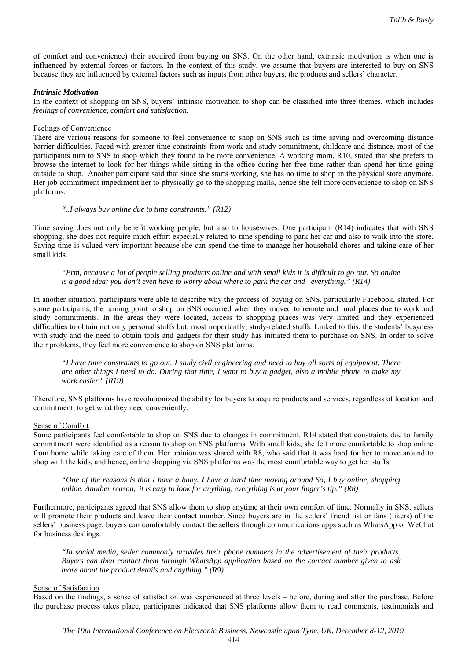of comfort and convenience) their acquired from buying on SNS. On the other hand, extrinsic motivation is when one is influenced by external forces or factors. In the context of this study, we assume that buyers are interested to buy on SNS because they are influenced by external factors such as inputs from other buyers, the products and sellers' character.

### *Intrinsic Motivation*

In the context of shopping on SNS, buyers' intrinsic motivation to shop can be classified into three themes, which includes *feelings of convenience, comfort and satisfaction.*

### Feelings of Convenience

There are various reasons for someone to feel convenience to shop on SNS such as time saving and overcoming distance barrier difficulties. Faced with greater time constraints from work and study commitment, childcare and distance, most of the participants turn to SNS to shop which they found to be more convenience. A working mom, R10, stated that she prefers to browse the internet to look for her things while sitting in the office during her free time rather than spend her time going outside to shop. Another participant said that since she starts working, she has no time to shop in the physical store anymore. Her job commitment impediment her to physically go to the shopping malls, hence she felt more convenience to shop on SNS platforms.

## *"..I always buy online due to time constraints." (R12)*

Time saving does not only benefit working people, but also to housewives. One participant (R14) indicates that with SNS shopping, she does not require much effort especially related to time spending to park her car and also to walk into the store. Saving time is valued very important because she can spend the time to manage her household chores and taking care of her small kids.

*"Erm, because a lot of people selling products online and with small kids it is difficult to go out. So online is a good idea; you don't even have to worry about where to park the car and everything." (R14)* 

In another situation, participants were able to describe why the process of buying on SNS, particularly Facebook, started. For some participants, the turning point to shop on SNS occurred when they moved to remote and rural places due to work and study commitments. In the areas they were located, access to shopping places was very limited and they experienced difficulties to obtain not only personal stuffs but, most importantly, study-related stuffs. Linked to this, the students' busyness with study and the need to obtain tools and gadgets for their study has initiated them to purchase on SNS. In order to solve their problems, they feel more convenience to shop on SNS platforms.

*"I have time constraints to go out. I study civil engineering and need to buy all sorts of equipment. There are other things I need to do. During that time, I want to buy a gadget, also a mobile phone to make my work easier." (R19)* 

Therefore, SNS platforms have revolutionized the ability for buyers to acquire products and services, regardless of location and commitment, to get what they need conveniently.

#### Sense of Comfort

Some participants feel comfortable to shop on SNS due to changes in commitment. R14 stated that constraints due to family commitment were identified as a reason to shop on SNS platforms. With small kids, she felt more comfortable to shop online from home while taking care of them. Her opinion was shared with R8, who said that it was hard for her to move around to shop with the kids, and hence, online shopping via SNS platforms was the most comfortable way to get her stuffs.

*"One of the reasons is that I have a baby. I have a hard time moving around So, I buy online, shopping online. Another reason, it is easy to look for anything, everything is at your finger's tip." (R8)* 

Furthermore, participants agreed that SNS allow them to shop anytime at their own comfort of time. Normally in SNS, sellers will promote their products and leave their contact number. Since buyers are in the sellers' friend list or fans (likers) of the sellers' business page, buyers can comfortably contact the sellers through communications apps such as WhatsApp or WeChat for business dealings.

*"In social media, seller commonly provides their phone numbers in the advertisement of their products. Buyers can then contact them through WhatsApp application based on the contact number given to ask more about the product details and anything." (R9)*

# Sense of Satisfaction

Based on the findings, a sense of satisfaction was experienced at three levels – before, during and after the purchase. Before the purchase process takes place, participants indicated that SNS platforms allow them to read comments, testimonials and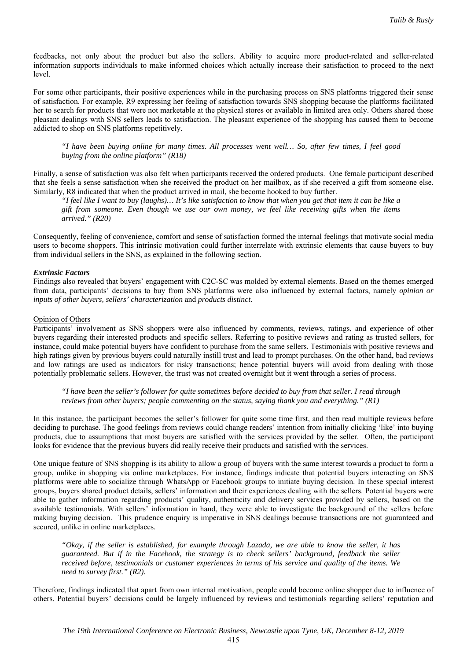feedbacks, not only about the product but also the sellers. Ability to acquire more product-related and seller-related information supports individuals to make informed choices which actually increase their satisfaction to proceed to the next level.

For some other participants, their positive experiences while in the purchasing process on SNS platforms triggered their sense of satisfaction. For example, R9 expressing her feeling of satisfaction towards SNS shopping because the platforms facilitated her to search for products that were not marketable at the physical stores or available in limited area only. Others shared those pleasant dealings with SNS sellers leads to satisfaction. The pleasant experience of the shopping has caused them to become addicted to shop on SNS platforms repetitively.

*"I have been buying online for many times. All processes went well… So, after few times, I feel good buying from the online platform" (R18)* 

Finally, a sense of satisfaction was also felt when participants received the ordered products. One female participant described that she feels a sense satisfaction when she received the product on her mailbox, as if she received a gift from someone else. Similarly, R8 indicated that when the product arrived in mail, she become hooked to buy further.

*"I feel like I want to buy (laughs)… It's like satisfaction to know that when you get that item it can be like a gift from someone. Even though we use our own money, we feel like receiving gifts when the items arrived." (R20)* 

Consequently, feeling of convenience, comfort and sense of satisfaction formed the internal feelings that motivate social media users to become shoppers. This intrinsic motivation could further interrelate with extrinsic elements that cause buyers to buy from individual sellers in the SNS, as explained in the following section.

### *Extrinsic Factors*

Findings also revealed that buyers' engagement with C2C-SC was molded by external elements. Based on the themes emerged from data, participants' decisions to buy from SNS platforms were also influenced by external factors, namely *opinion or inputs of other buyers, sellers' characterization* and *products distinct*.

# Opinion of Others

Participants' involvement as SNS shoppers were also influenced by comments, reviews, ratings, and experience of other buyers regarding their interested products and specific sellers. Referring to positive reviews and rating as trusted sellers, for instance, could make potential buyers have confident to purchase from the same sellers. Testimonials with positive reviews and high ratings given by previous buyers could naturally instill trust and lead to prompt purchases. On the other hand, bad reviews and low ratings are used as indicators for risky transactions; hence potential buyers will avoid from dealing with those potentially problematic sellers. However, the trust was not created overnight but it went through a series of process.

*"I have been the seller's follower for quite sometimes before decided to buy from that seller. I read through reviews from other buyers; people commenting on the status, saying thank you and everything." (R1)* 

In this instance, the participant becomes the seller's follower for quite some time first, and then read multiple reviews before deciding to purchase. The good feelings from reviews could change readers' intention from initially clicking 'like' into buying products, due to assumptions that most buyers are satisfied with the services provided by the seller. Often, the participant looks for evidence that the previous buyers did really receive their products and satisfied with the services.

One unique feature of SNS shopping is its ability to allow a group of buyers with the same interest towards a product to form a group, unlike in shopping via online marketplaces. For instance, findings indicate that potential buyers interacting on SNS platforms were able to socialize through WhatsApp or Facebook groups to initiate buying decision. In these special interest groups, buyers shared product details, sellers' information and their experiences dealing with the sellers. Potential buyers were able to gather information regarding products' quality, authenticity and delivery services provided by sellers, based on the available testimonials. With sellers' information in hand, they were able to investigate the background of the sellers before making buying decision. This prudence enquiry is imperative in SNS dealings because transactions are not guaranteed and secured, unlike in online marketplaces.

*"Okay, if the seller is established, for example through Lazada, we are able to know the seller, it has guaranteed. But if in the Facebook, the strategy is to check sellers' background, feedback the seller received before, testimonials or customer experiences in terms of his service and quality of the items. We need to survey first." (R2).* 

Therefore, findings indicated that apart from own internal motivation, people could become online shopper due to influence of others. Potential buyers' decisions could be largely influenced by reviews and testimonials regarding sellers' reputation and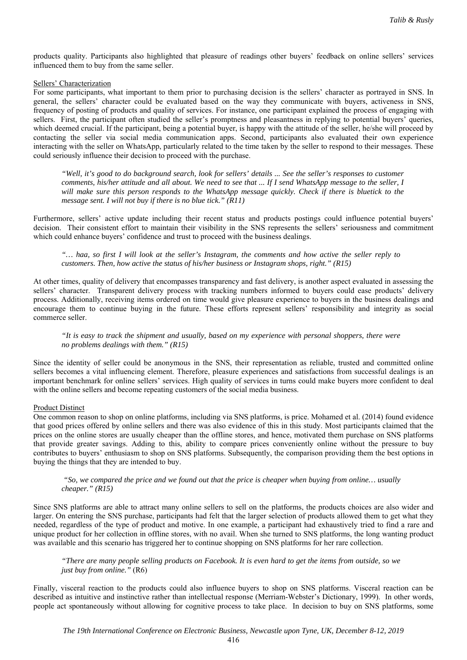products quality. Participants also highlighted that pleasure of readings other buyers' feedback on online sellers' services influenced them to buy from the same seller.

### Sellers' Characterization

For some participants, what important to them prior to purchasing decision is the sellers' character as portrayed in SNS. In general, the sellers' character could be evaluated based on the way they communicate with buyers, activeness in SNS, frequency of posting of products and quality of services. For instance, one participant explained the process of engaging with sellers. First, the participant often studied the seller's promptness and pleasantness in replying to potential buyers' queries, which deemed crucial. If the participant, being a potential buyer, is happy with the attitude of the seller, he/she will proceed by contacting the seller via social media communication apps. Second, participants also evaluated their own experience interacting with the seller on WhatsApp, particularly related to the time taken by the seller to respond to their messages. These could seriously influence their decision to proceed with the purchase.

*"Well, it's good to do background search, look for sellers' details ... See the seller's responses to customer comments, his/her attitude and all about. We need to see that ... If I send WhatsApp message to the seller, I will make sure this person responds to the WhatsApp message quickly. Check if there is bluetick to the message sent. I will not buy if there is no blue tick." (R11)* 

Furthermore, sellers' active update including their recent status and products postings could influence potential buyers' decision. Their consistent effort to maintain their visibility in the SNS represents the sellers' seriousness and commitment which could enhance buyers' confidence and trust to proceed with the business dealings.

*"… haa, so first I will look at the seller's Instagram, the comments and how active the seller reply to customers. Then, how active the status of his/her business or Instagram shops, right." (R15)* 

At other times, quality of delivery that encompasses transparency and fast delivery, is another aspect evaluated in assessing the sellers' character. Transparent delivery process with tracking numbers informed to buyers could ease products' delivery process. Additionally, receiving items ordered on time would give pleasure experience to buyers in the business dealings and encourage them to continue buying in the future. These efforts represent sellers' responsibility and integrity as social commerce seller.

*"It is easy to track the shipment and usually, based on my experience with personal shoppers, there were no problems dealings with them." (R15)* 

Since the identity of seller could be anonymous in the SNS, their representation as reliable, trusted and committed online sellers becomes a vital influencing element. Therefore, pleasure experiences and satisfactions from successful dealings is an important benchmark for online sellers' services. High quality of services in turns could make buyers more confident to deal with the online sellers and become repeating customers of the social media business.

### Product Distinct

One common reason to shop on online platforms, including via SNS platforms, is price. Mohamed et al. (2014) found evidence that good prices offered by online sellers and there was also evidence of this in this study. Most participants claimed that the prices on the online stores are usually cheaper than the offline stores, and hence, motivated them purchase on SNS platforms that provide greater savings. Adding to this, ability to compare prices conveniently online without the pressure to buy contributes to buyers' enthusiasm to shop on SNS platforms. Subsequently, the comparison providing them the best options in buying the things that they are intended to buy.

 *"So, we compared the price and we found out that the price is cheaper when buying from online… usually cheaper." (R15)* 

Since SNS platforms are able to attract many online sellers to sell on the platforms, the products choices are also wider and larger. On entering the SNS purchase, participants had felt that the larger selection of products allowed them to get what they needed, regardless of the type of product and motive. In one example, a participant had exhaustively tried to find a rare and unique product for her collection in offline stores, with no avail. When she turned to SNS platforms, the long wanting product was available and this scenario has triggered her to continue shopping on SNS platforms for her rare collection.

*"There are many people selling products on Facebook. It is even hard to get the items from outside, so we just buy from online."* (R6)

Finally, visceral reaction to the products could also influence buyers to shop on SNS platforms. Visceral reaction can be described as intuitive and instinctive rather than intellectual response (Merriam-Webster's Dictionary, 1999). In other words, people act spontaneously without allowing for cognitive process to take place. In decision to buy on SNS platforms, some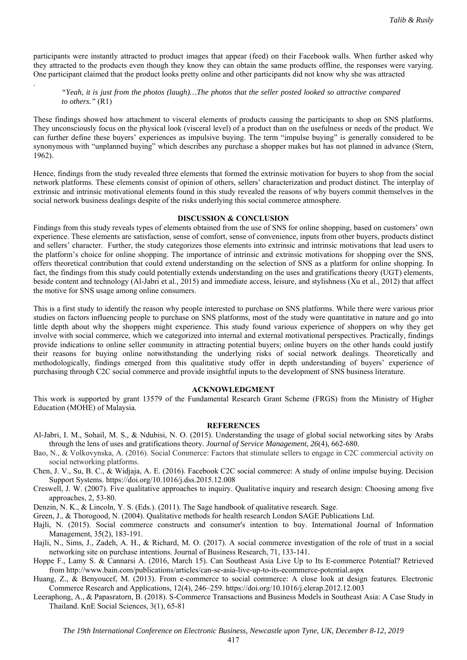participants were instantly attracted to product images that appear (feed) on their Facebook walls. When further asked why they attracted to the products even though they know they can obtain the same products offline, the responses were varying. One participant claimed that the product looks pretty online and other participants did not know why she was attracted

# *"Yeah, it is just from the photos (laugh)…The photos that the seller posted looked so attractive compared to others."* (R1)

.

These findings showed how attachment to visceral elements of products causing the participants to shop on SNS platforms. They unconsciously focus on the physical look (visceral level) of a product than on the usefulness or needs of the product. We can further define these buyers' experiences as impulsive buying. The term "impulse buying" is generally considered to be synonymous with "unplanned buying" which describes any purchase a shopper makes but has not planned in advance (Stern, 1962).

Hence, findings from the study revealed three elements that formed the extrinsic motivation for buyers to shop from the social network platforms. These elements consist of opinion of others, sellers' characterization and product distinct. The interplay of extrinsic and intrinsic motivational elements found in this study revealed the reasons of why buyers commit themselves in the social network business dealings despite of the risks underlying this social commerce atmosphere.

# **DISCUSSION & CONCLUSION**

Findings from this study reveals types of elements obtained from the use of SNS for online shopping, based on customers' own experience. These elements are satisfaction, sense of comfort, sense of convenience, inputs from other buyers, products distinct and sellers' character. Further, the study categorizes those elements into extrinsic and intrinsic motivations that lead users to the platform's choice for online shopping. The importance of intrinsic and extrinsic motivations for shopping over the SNS, offers theoretical contribution that could extend understanding on the selection of SNS as a platform for online shopping. In fact, the findings from this study could potentially extends understanding on the uses and gratifications theory (UGT) elements, beside content and technology (Al-Jabri et al., 2015) and immediate access, leisure, and stylishness (Xu et al., 2012) that affect the motive for SNS usage among online consumers.

This is a first study to identify the reason why people interested to purchase on SNS platforms. While there were various prior studies on factors influencing people to purchase on SNS platforms, most of the study were quantitative in nature and go into little depth about why the shoppers might experience. This study found various experience of shoppers on why they get involve with social commerce, which we categorized into internal and external motivational perspectives. Practically, findings provide indications to online seller community in attracting potential buyers; online buyers on the other hands could justify their reasons for buying online notwithstanding the underlying risks of social network dealings. Theoretically and methodologically, findings emerged from this qualitative study offer in depth understanding of buyers' experience of purchasing through C2C social commerce and provide insightful inputs to the development of SNS business literature.

#### **ACKNOWLEDGMENT**

This work is supported by grant 13579 of the Fundamental Research Grant Scheme (FRGS) from the Ministry of Higher Education (MOHE) of Malaysia.

#### **REFERENCES**

- Al-Jabri, I. M., Sohail, M. S., & Ndubisi, N. O. (2015). Understanding the usage of global social networking sites by Arabs through the lens of uses and gratifications theory. *Journal of Service Management*, *26*(4), 662-680.
- Bao, N., & Volkovynska, A. (2016). Social Commerce: Factors that stimulate sellers to engage in C2C commercial activity on social networking platforms.
- Chen, J. V., Su, B. C., & Widjaja, A. E. (2016). Facebook C2C social commerce: A study of online impulse buying. Decision Support Systems. https://doi.org/10.1016/j.dss.2015.12.008
- Creswell, J. W. (2007). Five qualitative approaches to inquiry. Qualitative inquiry and research design: Choosing among five approaches, 2, 53-80.
- Denzin, N. K., & Lincoln, Y. S. (Eds.). (2011). The Sage handbook of qualitative research. Sage.
- Green, J., & Thorogood, N. (2004). Qualitative methods for health research London SAGE Publications Ltd.
- Hajli, N. (2015). Social commerce constructs and consumer's intention to buy. International Journal of Information Management, 35(2), 183-191.
- Hajli, N., Sims, J., Zadeh, A. H., & Richard, M. O. (2017). A social commerce investigation of the role of trust in a social networking site on purchase intentions. Journal of Business Research, 71, 133-141.
- Hoppe F., Lamy S. & Cannarsi A. (2016, March 15). Can Southeast Asia Live Up to Its E-commerce Potential? Retrieved from http://www.bain.com/publications/articles/can-se-asia-live-up-to-its-ecommerce-potential.aspx
- Huang, Z., & Benyoucef, M. (2013). From e-commerce to social commerce: A close look at design features. Electronic Commerce Research and Applications, 12(4), 246–259. https://doi.org/10.1016/j.elerap.2012.12.003
- Leeraphong, A., & Papasratorn, B. (2018). S-Commerce Transactions and Business Models in Southeast Asia: A Case Study in Thailand. KnE Social Sciences, 3(1), 65-81